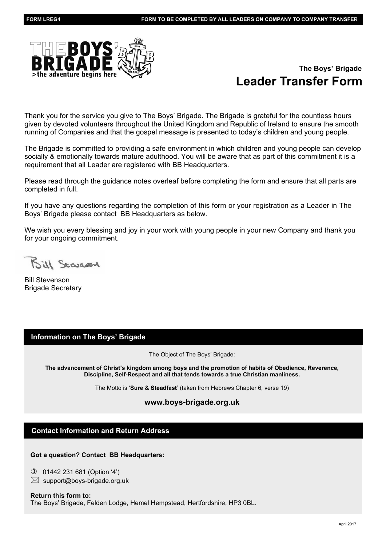

# **Leader Transfer Form The Boys' Brigade**

Thank you for the service you give to The Boys' Brigade. The Brigade is grateful for the countless hours given by devoted volunteers throughout the United Kingdom and Republic of Ireland to ensure the smooth running of Companies and that the gospel message is presented to today's children and young people.

The Brigade is committed to providing a safe environment in which children and young people can develop socially & emotionally towards mature adulthood. You will be aware that as part of this commitment it is a requirement that all Leader are registered with BB Headquarters.

Please read through the guidance notes overleaf before completing the form and ensure that all parts are completed in full.

If you have any questions regarding the completion of this form or your registration as a Leader in The Boys' Brigade please contact BB Headquarters as below.

We wish you every blessing and joy in your work with young people in your new Company and thank you for your ongoing commitment.

Bill Scangory

Bill Stevenson Brigade Secretary

## **Information on The Boys' Brigade**

The Object of The Boys' Brigade:

**The advancement of Christ's kingdom among boys and the promotion of habits of Obedience, Reverence, Discipline, Self-Respect and all that tends towards a true Christian manliness.**

The Motto is '**Sure & Steadfast**' (taken from Hebrews Chapter 6, verse 19)

### **www.boys-brigade.org.uk**

### **Contact Information and Return Address**

#### **Got a question? Contact BB Headquarters:**

✆ 01442 231 681 (Option '4')

 $\boxtimes$  support@boys-brigade.org.uk

### **Return this form to:** The Boys' Brigade, Felden Lodge, Hemel Hempstead, Hertfordshire, HP3 0BL.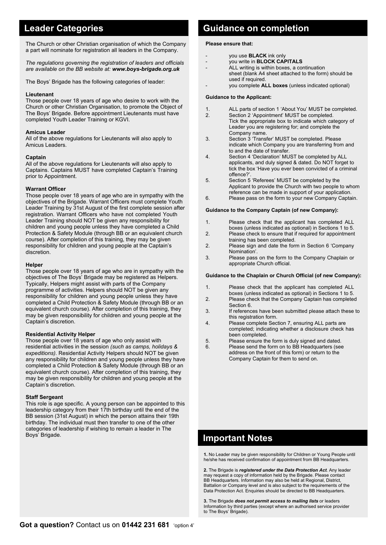The Church or other Christian organisation of which the Company a part will nominate for registration all leaders in the Company.

*The regulations governing the registration of leaders and officials are available on the BB website at: www.boys-brigade.org.uk*

The Boys' Brigade has the following categories of leader:

#### **Lieutenant**

Those people over 18 years of age who desire to work with the Church or other Christian Organisation, to promote the Object of The Boys' Brigade. Before appointment Lieutenants must have completed Youth Leader Training or KGVI.

#### **Amicus Leader**

All of the above regulations for Lieutenants will also apply to Amicus Leaders.

#### **Captain**

All of the above regulations for Lieutenants will also apply to Captains. Captains MUST have completed Captain's Training prior to Appointment.

#### **Warrant Officer**

Those people over 18 years of age who are in sympathy with the objectives of the Brigade. Warrant Officers must complete Youth Leader Training by 31st August of the first complete session after registration. Warrant Officers who have not completed Youth Leader Training should NOT be given any responsibility for children and young people unless they have completed a Child Protection & Safety Module (through BB or an equivalent church course). After completion of this training, they may be given responsibility for children and young people at the Captain's discretion.

#### **Helper**

Those people over 18 years of age who are in sympathy with the objectives of The Boys' Brigade may be registered as Helpers. Typically, Helpers might assist with parts of the Company programme of activities. Helpers should NOT be given any responsibility for children and young people unless they have completed a Child Protection & Safety Module (through BB or an equivalent church course). After completion of this training, they may be given responsibility for children and young people at the Captain's discretion.

#### **Residential Activity Helper**

Those people over 18 years of age who only assist with residential activities in the session *(such as camps, holidays & expeditions)*. Residential Activity Helpers should NOT be given any responsibility for children and young people unless they have completed a Child Protection & Safety Module (through BB or an equivalent church course). After completion of this training, they may be given responsibility for children and young people at the Captain's discretion.

#### **Staff Sergeant**

This role is age specific. A young person can be appointed to this leadership category from their 17th birthday until the end of the BB session (31st August) in which the person attains their 19th birthday. The individual must then transfer to one of the other categories of leadership if wishing to remain a leader in The Boys' Brigade.

# **Leader Categories Cuidance on completion**

#### **Please ensure that:**

- you use **BLACK** ink only
- you write in **BLOCK CAPITALS**
- ALL writing is within boxes, a continuation sheet (blank A4 sheet attached to the form) should be used if required.
- you complete **ALL boxes** (unless indicated optional)

#### **Guidance to the Applicant:**

- 1. ALL parts of section 1 'About You' MUST be completed.
- 2. Section 2 'Appointment' MUST be completed. Tick the appropriate box to indicate which category of Leader you are registering for; and complete the Company name.<br>3 Section 3 Trans
- Section 3 'Transfer' MUST be completed. Please indicate which Company you are transferring from and to and the date of transfer.
- 4. Section 4 'Declaration' MUST be completed by ALL applicants, and duly signed & dated. Do NOT forget to tick the box 'Have you ever been convicted of a criminal offence?'.
- 5. Section 5 'Referees' MUST be completed by the Applicant to provide the Church with two people to whom
- reference can be made in support of your application.<br>6 Please pass on the form to your new Company Capta Please pass on the form to your new Company Captain.

#### **Guidance to the Company Captain (of new Company):**

- 1. Please check that the applicant has completed ALL boxes (unless indicated as optional) in Sections 1 to 5.
- Please check to ensure that if required for appointment training has been completed.<br>2 Please sign and date the for
- Please sign and date the form in Section 6 'Company Nomination'.
- 3. Please pass on the form to the Company Chaplain or appropriate Church official.

#### **Guidance to the Chaplain or Church Official (of new Company):**

- 1. Please check that the applicant has completed ALL boxes (unless indicated as optional) in Sections 1 to 5.
- 2. Please check that the Company Captain has completed Section 6.<br>Section 6.<br>If reference
- If references have been submitted please attach these to this registration form.<br>4 Blease complete Sec
- Please complete Section 7, ensuring ALL parts are completed; indicating whether a disclosure check has been completed.
- 5. Please ensure the form is duly signed and dated.
- 6. Please send the form on to BB Headquarters (see address on the front of this form) or return to the Company Captain for them to send on.

# **Important Notes**

**1.** No Leader may be given responsibility for Children or Young People until he/she has received confirmation of appointment from BB Headquarters.

**2.** The Brigade is *registered under the Data Protection Act*. Any leader may request a copy of information held by the Brigade. Please contact BB Headquarters. Information may also be held at Regional, District, Battalion or Company level and is also subject to the requirements of the Data Protection Act. Enquiries should be directed to BB Headquarters.

**3.** The Brigade *does not permit access to mailing lists* or leaders Information by third parties (except where an authorised service provider to The Boys' Brigade).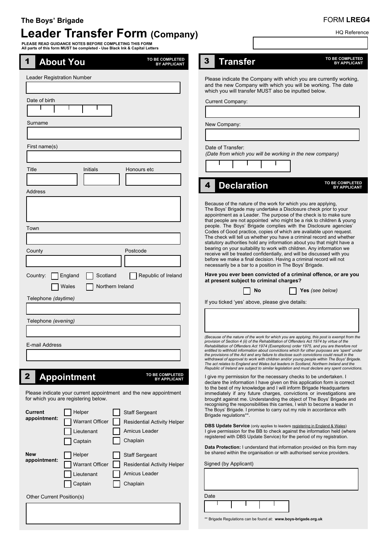# FORM **LREG4**

HQ Reference

# **Leader Transfer Form (Company) The Boys' Brigade**

**PLEASE READ GUIDANCE NOTES BEFORE COMPLETING THIS FORM All parts of this form MUST be completed - Use Black Ink & Capital Letters**

| TO BE COMPLETED<br><b>About You</b><br>$\mathbf 1$<br><b>BY APPLICANT</b>                                | TO BE COMPLETED<br>3<br><b>Transfer</b><br><b>BY APPLICANT</b>                                                                                                                                                                                                                                                                                                                                                                                                                                                                                                                                                                                                                                                                                                                                                                                                     |
|----------------------------------------------------------------------------------------------------------|--------------------------------------------------------------------------------------------------------------------------------------------------------------------------------------------------------------------------------------------------------------------------------------------------------------------------------------------------------------------------------------------------------------------------------------------------------------------------------------------------------------------------------------------------------------------------------------------------------------------------------------------------------------------------------------------------------------------------------------------------------------------------------------------------------------------------------------------------------------------|
| Leader Registration Number                                                                               | Please indicate the Company with which you are currently working,<br>and the new Company with which you will be working. The date<br>which you will transfer MUST also be inputted below.                                                                                                                                                                                                                                                                                                                                                                                                                                                                                                                                                                                                                                                                          |
| Date of birth                                                                                            | <b>Current Company:</b>                                                                                                                                                                                                                                                                                                                                                                                                                                                                                                                                                                                                                                                                                                                                                                                                                                            |
|                                                                                                          |                                                                                                                                                                                                                                                                                                                                                                                                                                                                                                                                                                                                                                                                                                                                                                                                                                                                    |
| Surname                                                                                                  | New Company:                                                                                                                                                                                                                                                                                                                                                                                                                                                                                                                                                                                                                                                                                                                                                                                                                                                       |
|                                                                                                          |                                                                                                                                                                                                                                                                                                                                                                                                                                                                                                                                                                                                                                                                                                                                                                                                                                                                    |
| First name(s)                                                                                            | Date of Transfer:<br>(Date from which you will be working in the new company)                                                                                                                                                                                                                                                                                                                                                                                                                                                                                                                                                                                                                                                                                                                                                                                      |
|                                                                                                          |                                                                                                                                                                                                                                                                                                                                                                                                                                                                                                                                                                                                                                                                                                                                                                                                                                                                    |
| Title<br>Initials<br>Honours etc                                                                         |                                                                                                                                                                                                                                                                                                                                                                                                                                                                                                                                                                                                                                                                                                                                                                                                                                                                    |
|                                                                                                          | <b>TO BE COMPLETED</b><br><b>Declaration</b><br>4                                                                                                                                                                                                                                                                                                                                                                                                                                                                                                                                                                                                                                                                                                                                                                                                                  |
| <b>Address</b>                                                                                           | <b>BY APPLICANT</b>                                                                                                                                                                                                                                                                                                                                                                                                                                                                                                                                                                                                                                                                                                                                                                                                                                                |
| Town<br>Postcode<br>County                                                                               | Because of the nature of the work for which you are applying,<br>The Boys' Brigade may undertake a Disclosure check prior to your<br>appointment as a Leader. The purpose of the check is to make sure<br>that people are not appointed who might be a risk to children & young<br>people. The Boys' Brigade complies with the Disclosure agencies'<br>Codes of Good practice, copies of which are available upon request.<br>The check will tell us whether you have a criminal record and whether<br>statutory authorities hold any information about you that might have a<br>bearing on your suitability to work with children. Any information we<br>receive will be treated confidentially, and will be discussed with you<br>before we make a final decision. Having a criminal record will not<br>necessarily be a bar to a position in The Boys' Brigade. |
| Scotland<br>Republic of Ireland<br>England<br>Country:                                                   | Have you ever been convicted of a criminal offence, or are you                                                                                                                                                                                                                                                                                                                                                                                                                                                                                                                                                                                                                                                                                                                                                                                                     |
| Northern Ireland<br>Wales                                                                                | at present subject to criminal charges?<br>Yes (see below)<br>No                                                                                                                                                                                                                                                                                                                                                                                                                                                                                                                                                                                                                                                                                                                                                                                                   |
| Telephone (daytime)                                                                                      |                                                                                                                                                                                                                                                                                                                                                                                                                                                                                                                                                                                                                                                                                                                                                                                                                                                                    |
|                                                                                                          | If you ticked 'yes' above, please give details:                                                                                                                                                                                                                                                                                                                                                                                                                                                                                                                                                                                                                                                                                                                                                                                                                    |
| Telephone (evening)                                                                                      |                                                                                                                                                                                                                                                                                                                                                                                                                                                                                                                                                                                                                                                                                                                                                                                                                                                                    |
|                                                                                                          |                                                                                                                                                                                                                                                                                                                                                                                                                                                                                                                                                                                                                                                                                                                                                                                                                                                                    |
| <b>E-mail Address</b>                                                                                    | (Because of the nature of the work for which you are applying, this post is exempt from the<br>provision of Section 4 (ii) of the Rehabilitation of Offenders Act 1974 by virtue of the<br>Rehabilitation of Offenders Act 1974 (Exemptions) order 1975, and you are therefore not<br>entitled to withhold information about convictions which for other purposes are 'spent' under<br>the provisions of the Act and any failure to disclose such convictions could result in the<br>withdrawal of approval to work with children and/or young people within The Boys' Brigade.<br>The act relates to England and Wales but leaders in Scotland, Northern Ireland and the<br>Republic of Ireland are subject to similar legislation and must declare any spent convictions.                                                                                        |
| TO BE COMPLETED<br>$\mathbf 2$<br><b>Appointment</b><br><b>BY APPLICANT</b>                              | I give my permission for the necessary checks to be undertaken. I                                                                                                                                                                                                                                                                                                                                                                                                                                                                                                                                                                                                                                                                                                                                                                                                  |
| Please indicate your current appointment and the new appointment<br>for which you are registering below. | declare the information I have given on this application form is correct<br>to the best of my knowledge and I will inform Brigade Headquarters<br>immediately if any future charges, convictions or investigations are<br>brought against me. Understanding the object of The Boys' Brigade and<br>recognising the responsibilities this carries, I wish to become a leader in                                                                                                                                                                                                                                                                                                                                                                                                                                                                                     |
| Helper<br><b>Staff Sergeant</b><br>Current<br>appointment:                                               | The Boys' Brigade. I promise to carry out my role in accordance with<br>Brigade regulations**.                                                                                                                                                                                                                                                                                                                                                                                                                                                                                                                                                                                                                                                                                                                                                                     |
| <b>Warrant Officer</b><br><b>Residential Activity Helper</b>                                             | <b>DBS Update Service</b> (only applies to leaders registering in England & Wales)                                                                                                                                                                                                                                                                                                                                                                                                                                                                                                                                                                                                                                                                                                                                                                                 |
| Amicus Leader<br>Lieutenant<br>Chaplain                                                                  | I give permission for the BB to check against the information held (where<br>registered with DBS Update Service) for the period of my registration.                                                                                                                                                                                                                                                                                                                                                                                                                                                                                                                                                                                                                                                                                                                |
| Captain                                                                                                  | Data Protection: I understand that information provided on this form may                                                                                                                                                                                                                                                                                                                                                                                                                                                                                                                                                                                                                                                                                                                                                                                           |
| <b>New</b><br>Helper<br><b>Staff Sergeant</b><br>appointment:                                            | be shared within the organisation or with authorised service providers.                                                                                                                                                                                                                                                                                                                                                                                                                                                                                                                                                                                                                                                                                                                                                                                            |
| <b>Warrant Officer</b><br><b>Residential Activity Helper</b>                                             | Signed (by Applicant)                                                                                                                                                                                                                                                                                                                                                                                                                                                                                                                                                                                                                                                                                                                                                                                                                                              |
| Amicus Leader<br>Lieutenant                                                                              |                                                                                                                                                                                                                                                                                                                                                                                                                                                                                                                                                                                                                                                                                                                                                                                                                                                                    |
| Chaplain<br>Captain                                                                                      |                                                                                                                                                                                                                                                                                                                                                                                                                                                                                                                                                                                                                                                                                                                                                                                                                                                                    |
| Other Current Position(s)                                                                                | Date                                                                                                                                                                                                                                                                                                                                                                                                                                                                                                                                                                                                                                                                                                                                                                                                                                                               |
|                                                                                                          |                                                                                                                                                                                                                                                                                                                                                                                                                                                                                                                                                                                                                                                                                                                                                                                                                                                                    |
|                                                                                                          | ** Brigade Regulations can be found at: www.boys-brigade.org.uk                                                                                                                                                                                                                                                                                                                                                                                                                                                                                                                                                                                                                                                                                                                                                                                                    |